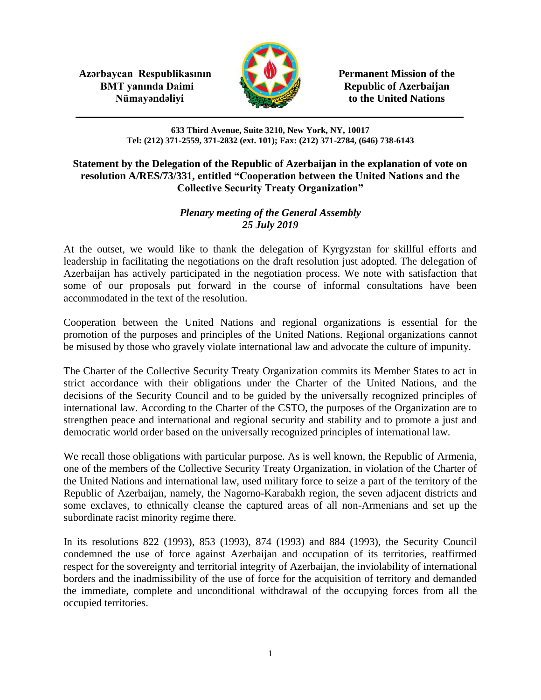**Azərbaycan Respublikasının Permanent Mission of the BMT yanında Daimi Republic of Azerbaijan** 



**Nümayəndəliyi** to the United Nations

**633 Third Avenue, Suite 3210, New York, NY, 10017 Tel: (212) 371-2559, 371-2832 (ext. 101); Fax: (212) 371-2784, (646) 738-6143**

## **Statement by the Delegation of the Republic of Azerbaijan in the explanation of vote on resolution A/RES/73/331, entitled "Cooperation between the United Nations and the Collective Security Treaty Organization"**

## *Plenary meeting of the General Assembly 25 July 2019*

At the outset, we would like to thank the delegation of Kyrgyzstan for skillful efforts and leadership in facilitating the negotiations on the draft resolution just adopted. The delegation of Azerbaijan has actively participated in the negotiation process. We note with satisfaction that some of our proposals put forward in the course of informal consultations have been accommodated in the text of the resolution.

Cooperation between the United Nations and regional organizations is essential for the promotion of the purposes and principles of the United Nations. Regional organizations cannot be misused by those who gravely violate international law and advocate the culture of impunity.

The Charter of the Collective Security Treaty Organization commits its Member States to act in strict accordance with their obligations under the Charter of the United Nations, and the decisions of the Security Council and to be guided by the universally recognized principles of international law. According to the Charter of the CSTO, the purposes of the Organization are to strengthen peace and international and regional security and stability and to promote a just and democratic world order based on the universally recognized principles of international law.

We recall those obligations with particular purpose. As is well known, the Republic of Armenia, one of the members of the Collective Security Treaty Organization, in violation of the Charter of the United Nations and international law, used military force to seize a part of the territory of the Republic of Azerbaijan, namely, the Nagorno-Karabakh region, the seven adjacent districts and some exclaves, to ethnically cleanse the captured areas of all non-Armenians and set up the subordinate racist minority regime there.

In its resolutions 822 (1993), 853 (1993), 874 (1993) and 884 (1993), the Security Council condemned the use of force against Azerbaijan and occupation of its territories, reaffirmed respect for the sovereignty and territorial integrity of Azerbaijan, the inviolability of international borders and the inadmissibility of the use of force for the acquisition of territory and demanded the immediate, complete and unconditional withdrawal of the occupying forces from all the occupied territories.